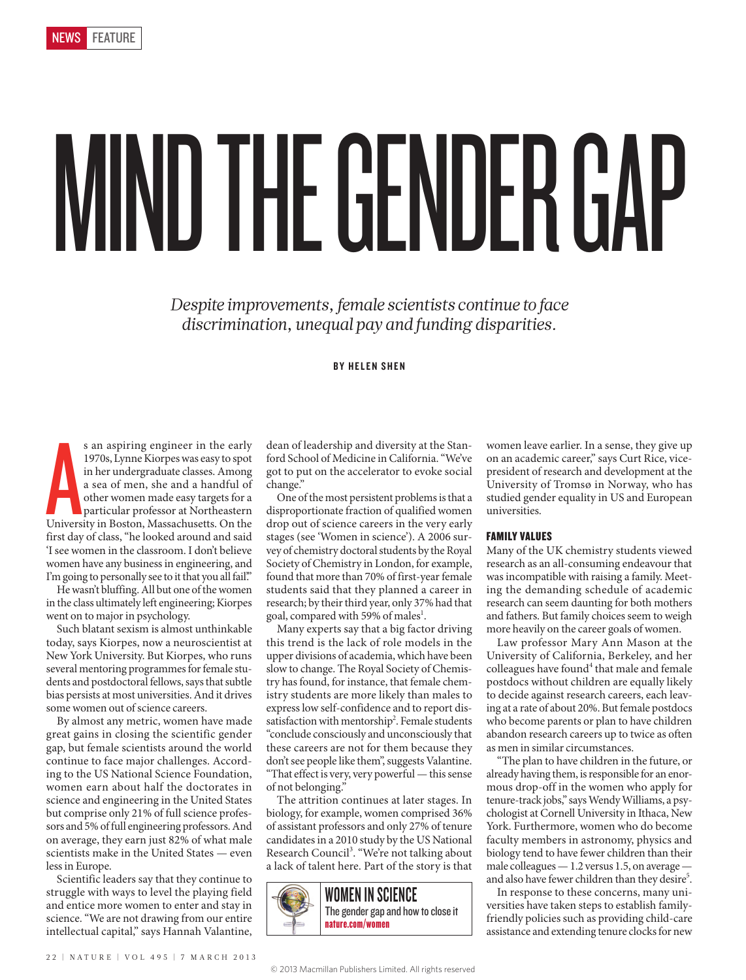# MIND THE GENDER GAP

*Despite improvements, female scientists continue to face discrimination, unequal pay and funding disparities.*

# BY HELEN SHEN

s an aspiring engineer in the early<br>1970s, Lynne Kiorpes was easy to spot<br>in her undergraduate classes. Among<br>a sea of men, she and a handful of<br>other women made easy targets for a<br>particular professor at Northeastern<br>Univ s an aspiring engineer in the early 1970s, Lynne Kiorpes was easy to spot in her undergraduate classes. Among a sea of men, she and a handful of other women made easy targets for a particular professor at Northeastern first day of class, "he looked around and said 'I see women in the classroom. I don't believe women have any business in engineering, and I'm going to personally see to it that you all fail."

He wasn't bluffing. All but one of the women in the class ultimately left engineering; Kiorpes went on to major in psychology.

Such blatant sexism is almost unthinkable today, says Kiorpes, now a neuroscientist at New York University. But Kiorpes, who runs several mentoring programmes for female students and postdoctoral fellows, says that subtle bias persists at most universities. And it drives some women out of science careers.

By almost any metric, women have made great gains in closing the scientific gender gap, but female scientists around the world continue to face major challenges. According to the US National Science Foundation, women earn about half the doctorates in science and engineering in the United States but comprise only 21% of full science professors and 5% of full engineering professors. And on average, they earn just 82% of what male scientists make in the United States — even less in Europe.

Scientific leaders say that they continue to struggle with ways to level the playing field and entice more women to enter and stay in science. "We are not drawing from our entire intellectual capital," says Hannah Valantine, dean of leadership and diversity at the Stanford School of Medicine in California. "We've got to put on the accelerator to evoke social change."

One of the most persistent problems is that a disproportionate fraction of qualified women drop out of science careers in the very early stages (see 'Women in science'). A 2006 survey of chemistry doctoral students by the Royal Society of Chemistry in London, for example, found that more than 70% of first-year female students said that they planned a career in research; by their third year, only 37% had that goal, compared with 59% of males<sup>1</sup>.

Many experts say that a big factor driving this trend is the lack of role models in the upper divisions of academia, which have been slow to change. The Royal Society of Chemistry has found, for instance, that female chemistry students are more likely than males to express low self-confidence and to report dissatisfaction with mentorship<sup>2</sup>. Female students "conclude consciously and unconsciously that these careers are not for them because they don't see people like them", suggests Valantine. "That effect is very, very powerful — this sense of not belonging."

The attrition continues at later stages. In biology, for example, women comprised 36% of assistant professors and only 27% of tenure candidates in a 2010 study by the US National Research Council<sup>3</sup>. "We're not talking about a lack of talent here. Part of the story is that



women leave earlier. In a sense, they give up on an academic career," says Curt Rice, vicepresident of research and development at the University of Tromsø in Norway, who has studied gender equality in US and European universities.

# FAMILY VALUES

Many of the UK chemistry students viewed research as an all-consuming endeavour that was incompatible with raising a family. Meeting the demanding schedule of academic research can seem daunting for both mothers and fathers. But family choices seem to weigh more heavily on the career goals of women.

Law professor Mary Ann Mason at the University of California, Berkeley, and her colleagues have found<sup>4</sup> that male and female postdocs without children are equally likely to decide against research careers, each leaving at a rate of about 20%. But female postdocs who become parents or plan to have children abandon research careers up to twice as often as men in similar circumstances.

"The plan to have children in the future, or already having them, is responsible for an enormous drop-off in the women who apply for tenure-track jobs," says Wendy Williams, a psychologist at Cornell University in Ithaca, New York. Furthermore, women who do become faculty members in astronomy, physics and biology tend to have fewer children than their male colleagues — 1.2 versus 1.5, on average and also have fewer children than they desire<sup>5</sup>.

In response to these concerns, many universities have taken steps to establish familyfriendly policies such as providing child-care assistance and extending tenure clocks for new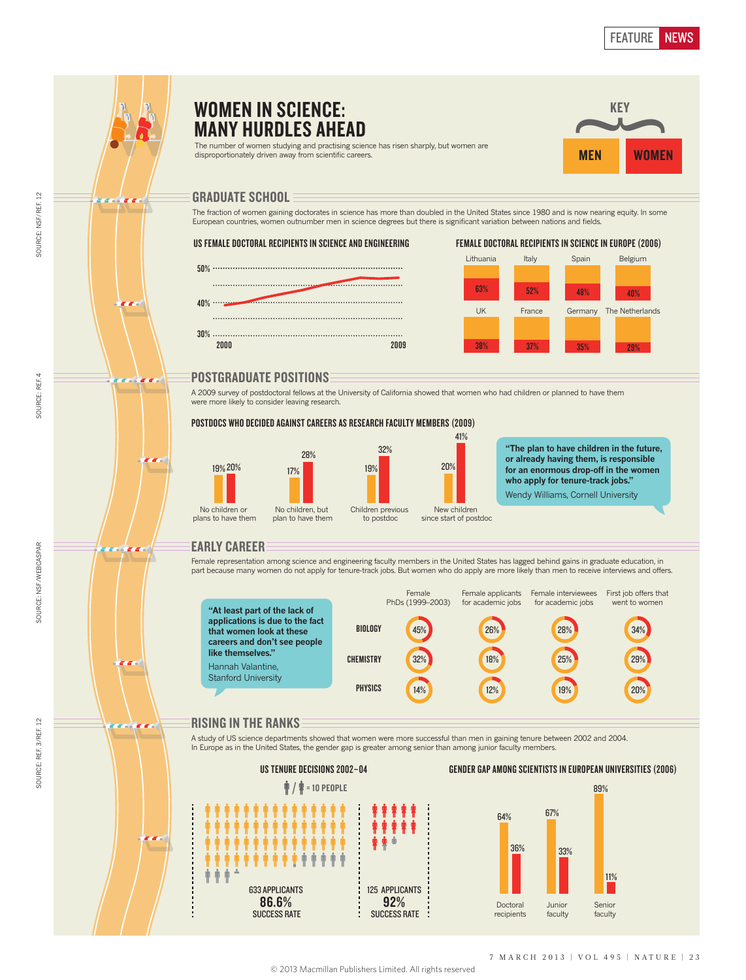### WOMEN IN SCIENCE: KEY  $\sim$ MANY HURDLES AHEAD The number of women studying and practising science has risen sharply, but women are **WOMEN** disproportionately driven away from scientific careers. **MEN** GRADUATE SCHOOL The fraction of women gaining doctorates in science has more than doubled in the United States since 1980 and is now nearing equity. In some European countries, women outnumber men in science degrees but there is significant variation between nations and fields. US FEMALE DOCTORAL RECIPIENTS IN SCIENCE AND ENGINEERING FEMALE DOCTORAL RECIPIENTS IN SCIENCE IN EUROPE (2006) Lithuania Italy Spain Belgium 50% 63% 52% 48% 40%  $40\%$  ...... UK France Germany The Netherlands 30% . . . . . . . . 2000 2009 38% 37% 35% 29% POSTGRADUATE POSITIONS a an A 2009 survey of postdoctoral fellows at the University of California showed that women who had children or planned to have them were more likely to consider leaving research. POSTDOCS WHO DECIDED AGAINST CAREERS AS RESEARCH FACULTY MEMBERS (2009) 41% 32% **"The plan to have children in the future,**  28% **or already having them, is responsible**  19% 20% 17% 20% 19% for an enormous drop-off in the women **who apply for tenure-track jobs."**  Wendy Williams, Cornell University No children or No children, but Children previous New children plans to have them plan to have them to postdoc since start of postdoc EARLY CAREER Female representation among science and engineering faculty members in the United States has lagged behind gains in graduate education, in part because many women do not apply for tenure-track jobs. But women who do apply are more likely than men to receive interviews and offers. Female Female applicants Female interviewees First job offers that PhDs (1999–2003) for academic jobs for academic jobs went to women **"At least part of the lack of applications is due to the fact that women look at these**  BIOLOGY 45% 26% 28% 34% **careers and don't see people like themselves." CHEMISTRY** 32% 18% 25% 29% Hannah Valantine, Stanford University **PHYSICS** 14% 12% 19% 20% RISING IN THE RANKS A study of US science departments showed that women were more successful than men in gaining tenure between 2002 and 2004. In Europe as in the United States, the gender gap is greater among senior than among junior faculty members. US TENURE DECISIONS 2002–04 GENDER GAP AMONG SCIENTISTS IN EUROPEAN UNIVERSITIES (2006)

SOURCE: NSF/REF. 12

SOURCE: NSF/REF. 12

SOURCE: REF. 4

SOURCE: REF. 4

SOURCE: NSF/WEBCASPAR

SOURCE: NSF/WEBCASPAR

SOURCE: REF. 3/REF. 12

SOURCE: REF. 3/REF. 12